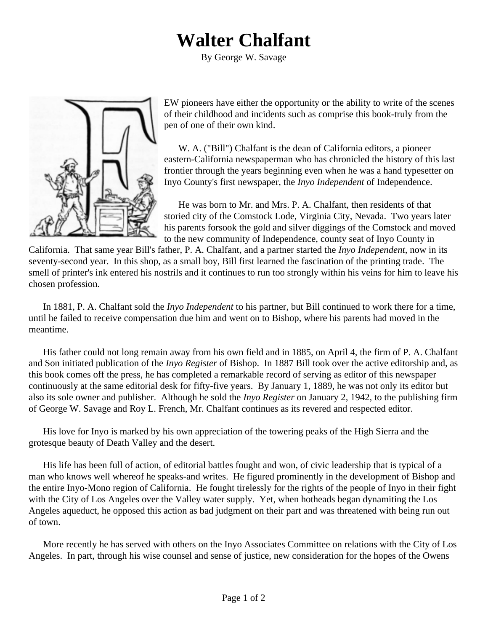## **Walter Chalfant**

By George W. Savage



EW pioneers have either the opportunity or the ability to write of the scenes of their childhood and incidents such as comprise this book-truly from the pen of one of their own kind.

W. A. ("Bill") Chalfant is the dean of California editors, a pioneer eastern-California newspaperman who has chronicled the history of this last frontier through the years beginning even when he was a hand typesetter on Inyo County's first newspaper, the *Inyo Independent* of Independence.

He was born to Mr. and Mrs. P. A. Chalfant, then residents of that storied city of the Comstock Lode, Virginia City, Nevada. Two years later his parents forsook the gold and silver diggings of the Comstock and moved to the new community of Independence, county seat of Inyo County in

California. That same year Bill's father, P. A. Chalfant, and a partner started the *Inyo Independent*, now in its seventy-second year. In this shop, as a small boy, Bill first learned the fascination of the printing trade. The smell of printer's ink entered his nostrils and it continues to run too strongly within his veins for him to leave his chosen profession.

In 1881, P. A. Chalfant sold the *Inyo Independent* to his partner, but Bill continued to work there for a time, until he failed to receive compensation due him and went on to Bishop, where his parents had moved in the meantime.

His father could not long remain away from his own field and in 1885, on April 4, the firm of P. A. Chalfant and Son initiated publication of the *Inyo Register* of Bishop. In 1887 Bill took over the active editorship and, as this book comes off the press, he has completed a remarkable record of serving as editor of this newspaper continuously at the same editorial desk for fifty-five years. By January 1, 1889, he was not only its editor but also its sole owner and publisher. Although he sold the *Inyo Register* on January 2, 1942, to the publishing firm of George W. Savage and Roy L. French, Mr. Chalfant continues as its revered and respected editor.

His love for Inyo is marked by his own appreciation of the towering peaks of the High Sierra and the grotesque beauty of Death Valley and the desert.

His life has been full of action, of editorial battles fought and won, of civic leadership that is typical of a man who knows well whereof he speaks-and writes. He figured prominently in the development of Bishop and the entire Inyo-Mono region of California. He fought tirelessly for the rights of the people of Inyo in their fight with the City of Los Angeles over the Valley water supply. Yet, when hotheads began dynamiting the Los Angeles aqueduct, he opposed this action as bad judgment on their part and was threatened with being run out of town.

More recently he has served with others on the Inyo Associates Committee on relations with the City of Los Angeles. In part, through his wise counsel and sense of justice, new consideration for the hopes of the Owens